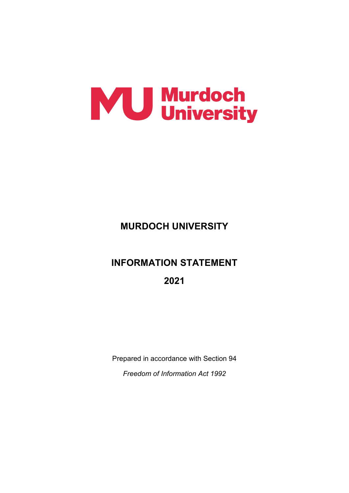

## **MURDOCH UNIVERSITY**

# **INFORMATION STATEMENT**

**2021**

Prepared in accordance with Section 94 *Freedom of Information Act 1992*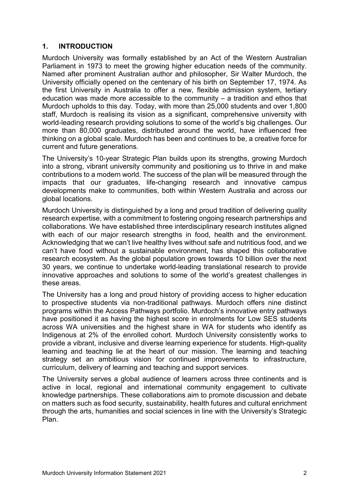## **1. INTRODUCTION**

Murdoch University was formally established by an Act of the Western Australian Parliament in 1973 to meet the growing higher education needs of the community. Named after prominent Australian author and philosopher, Sir Walter Murdoch, the University officially opened on the centenary of his birth on September 17, 1974. As the first University in Australia to offer a new, flexible admission system, tertiary education was made more accessible to the community – a tradition and ethos that Murdoch upholds to this day. Today, with more than 25,000 students and over 1,800 staff, Murdoch is realising its vision as a significant, comprehensive university with world-leading research providing solutions to some of the world's big challenges. Our more than 80,000 graduates, distributed around the world, have influenced free thinking on a global scale. Murdoch has been and continues to be, a creative force for current and future generations.

The University's 10-year Strategic Plan builds upon its strengths, growing Murdoch into a strong, vibrant university community and positioning us to thrive in and make contributions to a modern world. The success of the plan will be measured through the impacts that our graduates, life-changing research and innovative campus developments make to communities, both within Western Australia and across our global locations.

Murdoch University is distinguished by a long and proud tradition of delivering quality research expertise, with a commitment to fostering ongoing research partnerships and collaborations. We have established three interdisciplinary research institutes aligned with each of our major research strengths in food, health and the environment. Acknowledging that we can't live healthy lives without safe and nutritious food, and we can't have food without a sustainable environment, has shaped this collaborative research ecosystem. As the global population grows towards 10 billion over the next 30 years, we continue to undertake world-leading translational research to provide innovative approaches and solutions to some of the world's greatest challenges in these areas.

The University has a long and proud history of providing access to higher education to prospective students via non-traditional pathways. Murdoch offers nine distinct programs within the Access Pathways portfolio. Murdoch's innovative entry pathways have positioned it as having the highest score in enrolments for Low SES students across WA universities and the highest share in WA for students who identify as Indigenous at 2% of the enrolled cohort. Murdoch University consistently works to provide a vibrant, inclusive and diverse learning experience for students. High-quality learning and teaching lie at the heart of our mission. The learning and teaching strategy set an ambitious vision for continued improvements to infrastructure, curriculum, delivery of learning and teaching and support services.

The University serves a global audience of learners across three continents and is active in local, regional and international community engagement to cultivate knowledge partnerships. These collaborations aim to promote discussion and debate on matters such as food security, sustainability, health futures and cultural enrichment through the arts, humanities and social sciences in line with the University's Strategic Plan.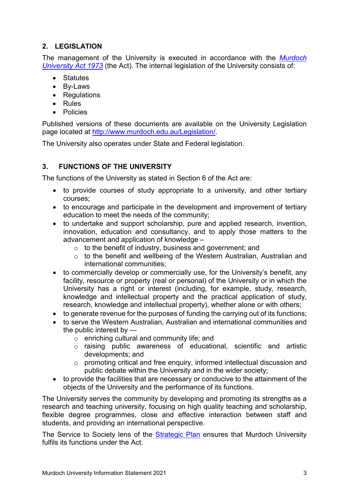## **2. LEGISLATION**

The management of the University is executed in accordance with the *[Murdoch](http://www.murdoch.edu.au/Legislation/Murdoch-University-Act-1973/)  [University Act 1973](http://www.murdoch.edu.au/Legislation/Murdoch-University-Act-1973/)* (the Act). The internal legislation of the University consists of:

- Statutes
- By-Laws
- Regulations
- Rules
- Policies

Published versions of these documents are available on the University Legislation page located at [http://www.murdoch.edu.au/Legislation/.](http://www.murdoch.edu.au/Legislation/)

The University also operates under State and Federal legislation.

## **3. FUNCTIONS OF THE UNIVERSITY**

The functions of the University as stated in Section 6 of the Act are:

- to provide courses of study appropriate to a university, and other tertiary courses;
- to encourage and participate in the development and improvement of tertiary education to meet the needs of the community;
- to undertake and support scholarship, pure and applied research, invention, innovation, education and consultancy, and to apply those matters to the advancement and application of knowledge –
	- o to the benefit of industry, business and government; and
	- o to the benefit and wellbeing of the Western Australian, Australian and international communities;
- to commercially develop or commercially use, for the University's benefit, any facility, resource or property (real or personal) of the University or in which the University has a right or interest (including, for example, study, research, knowledge and intellectual property and the practical application of study, research, knowledge and intellectual property), whether alone or with others;
- to generate revenue for the purposes of funding the carrying out of its functions:
- to serve the Western Australian, Australian and international communities and the public interest by
	- o enriching cultural and community life; and
	- o raising public awareness of educational, scientific and artistic developments; and
	- o promoting critical and free enquiry, informed intellectual discussion and public debate within the University and in the wider society;
- to provide the facilities that are necessary or conducive to the attainment of the objects of the University and the performance of its functions.

The University serves the community by developing and promoting its strengths as a research and teaching university, focusing on high quality teaching and scholarship, flexible degree programmes, close and effective interaction between staff and students, and providing an international perspective.

The Service to Society lens of the [Strategic Plan](http://www.murdoch.edu.au/docs/default-source/about-us/strategic_plan_future_horizon_2017-2027.pdf?sfvrsn=2fc63b47_4) ensures that Murdoch University fulfils its functions under the Act.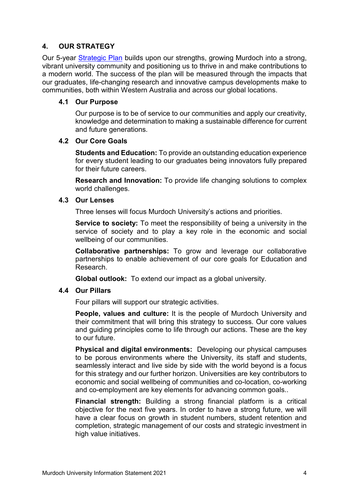## **4. OUR STRATEGY**

Our 5-year [Strategic Plan](http://www.murdoch.edu.au/docs/default-source/about-us/strategic_plan_future_horizon_2017-2027.pdf?sfvrsn=2fc63b47_4) builds upon our strengths, growing Murdoch into a strong, vibrant university community and positioning us to thrive in and make contributions to a modern world. The success of the plan will be measured through the impacts that our graduates, life-changing research and innovative campus developments make to communities, both within Western Australia and across our global locations.

#### **4.1 Our Purpose**

Our purpose is to be of service to our communities and apply our creativity, knowledge and determination to making a sustainable difference for current and future generations.

#### **4.2 Our Core Goals**

**Students and Education:** To provide an outstanding education experience for every student leading to our graduates being innovators fully prepared for their future careers.

**Research and Innovation:** To provide life changing solutions to complex world challenges.

#### **4.3 Our Lenses**

Three lenses will focus Murdoch University's actions and priorities.

**Service to society:** To meet the responsibility of being a university in the service of society and to play a key role in the economic and social wellbeing of our communities.

**Collaborative partnerships:** To grow and leverage our collaborative partnerships to enable achievement of our core goals for Education and Research.

**Global outlook:** To extend our impact as a global university.

## **4.4 Our Pillars**

Four pillars will support our strategic activities.

**People, values and culture:** It is the people of Murdoch University and their commitment that will bring this strategy to success. Our core values and guiding principles come to life through our actions. These are the key to our future.

**Physical and digital environments:** Developing our physical campuses to be porous environments where the University, its staff and students, seamlessly interact and live side by side with the world beyond is a focus for this strategy and our further horizon. Universities are key contributors to economic and social wellbeing of communities and co-location, co-working and co-employment are key elements for advancing common goals..

**Financial strength:** Building a strong financial platform is a critical objective for the next five years. In order to have a strong future, we will have a clear focus on growth in student numbers, student retention and completion, strategic management of our costs and strategic investment in high value initiatives.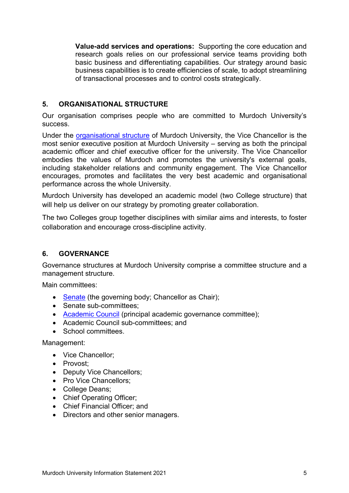**Value-add services and operations:** Supporting the core education and research goals relies on our professional service teams providing both basic business and differentiating capabilities. Our strategy around basic business capabilities is to create efficiencies of scale, to adopt streamlining of transactional processes and to control costs strategically.

## **5. ORGANISATIONAL STRUCTURE**

Our organisation comprises people who are committed to Murdoch University's success.

Under the [organisational structure](https://www.murdoch.edu.au/about-us/governance/senior-executive-team) of Murdoch University, the Vice Chancellor is the most senior executive position at Murdoch University – serving as both the principal academic officer and chief executive officer for the university. The Vice Chancellor embodies the values of Murdoch and promotes the university's external goals, including stakeholder relations and community engagement. The Vice Chancellor encourages, promotes and facilitates the very best academic and organisational performance across the whole University.

Murdoch University has developed an academic model (two College structure) that will help us deliver on our strategy by promoting greater collaboration.

The two Colleges group together disciplines with similar aims and interests, to foster collaboration and encourage cross-discipline activity.

## **6. GOVERNANCE**

Governance structures at Murdoch University comprise a committee structure and a management structure.

Main committees:

- [Senate](http://senate.murdoch.edu.au/) (the governing body; Chancellor as Chair);
- Senate sub-committees:
- [Academic Council](https://our.murdoch.edu.au/Committees/Academic-Council/) (principal academic governance committee);
- Academic Council sub-committees; and
- School committees.

Management:

- Vice Chancellor;
- Provost;
- Deputy Vice Chancellors;
- Pro Vice Chancellors:
- College Deans;
- Chief Operating Officer;
- Chief Financial Officer; and
- Directors and other senior managers.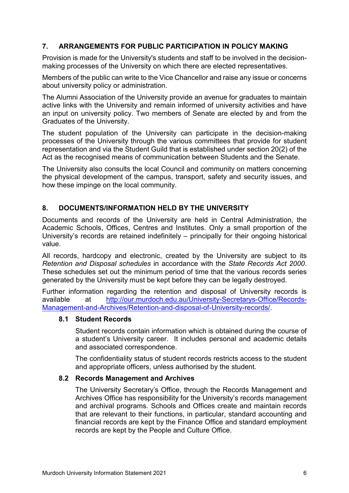## **7. ARRANGEMENTS FOR PUBLIC PARTICIPATION IN POLICY MAKING**

Provision is made for the University's students and staff to be involved in the decisionmaking processes of the University on which there are elected representatives.

Members of the public can write to the Vice Chancellor and raise any issue or concerns about university policy or administration.

The Alumni Association of the University provide an avenue for graduates to maintain active links with the University and remain informed of university activities and have an input on university policy. Two members of Senate are elected by and from the Graduates of the University.

The student population of the University can participate in the decision-making processes of the University through the various committees that provide for student representation and via the Student Guild that is established under section 20(2) of the Act as the recognised means of communication between Students and the Senate.

The University also consults the local Council and community on matters concerning the physical development of the campus, transport, safety and security issues, and how these impinge on the local community.

## **8. DOCUMENTS/INFORMATION HELD BY THE UNIVERSITY**

Documents and records of the University are held in Central Administration, the Academic Schools, Offices, Centres and Institutes. Only a small proportion of the University's records are retained indefinitely – principally for their ongoing historical value.

All records, hardcopy and electronic, created by the University are subject to its *Retention and Disposal schedules* in accordance with the *State Records Act 2000*. These schedules set out the minimum period of time that the various records series generated by the University must be kept before they can be legally destroyed.

Further information regarding the retention and disposal of University records is available at [http://our.murdoch.edu.au/University-Secretarys-Office/Records-](http://our.murdoch.edu.au/University-Secretarys-Office/Records-Management-and-Archives/Retention-and-disposal-of-University-records/)[Management-and-Archives/Retention-and-disposal-of-University-records/.](http://our.murdoch.edu.au/University-Secretarys-Office/Records-Management-and-Archives/Retention-and-disposal-of-University-records/)

#### **8.1 Student Records**

Student records contain information which is obtained during the course of a student's University career. It includes personal and academic details and associated correspondence.

The confidentiality status of student records restricts access to the student and appropriate officers, unless authorised by the student.

#### **8.2 Records Management and Archives**

The University Secretary's Office, through the Records Management and Archives Office has responsibility for the University's records management and archival programs. Schools and Offices create and maintain records that are relevant to their functions, in particular, standard accounting and financial records are kept by the Finance Office and standard employment records are kept by the People and Culture Office.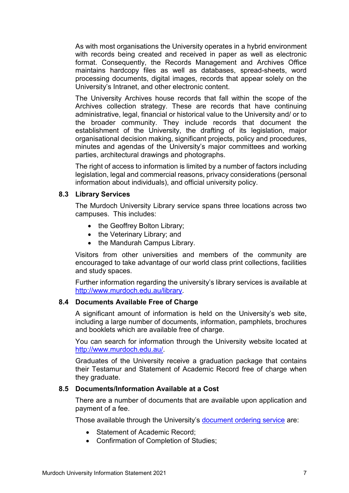As with most organisations the University operates in a hybrid environment with records being created and received in paper as well as electronic format. Consequently, the Records Management and Archives Office maintains hardcopy files as well as databases, spread-sheets, word processing documents, digital images, records that appear solely on the University's Intranet, and other electronic content.

The University Archives house records that fall within the scope of the Archives collection strategy. These are records that have continuing administrative, legal, financial or historical value to the University and/ or to the broader community. They include records that document the establishment of the University, the drafting of its legislation, major organisational decision making, significant projects, policy and procedures, minutes and agendas of the University's major committees and working parties, architectural drawings and photographs.

The right of access to information is limited by a number of factors including legislation, legal and commercial reasons, privacy considerations (personal information about individuals), and official university policy.

#### **8.3 Library Services**

The Murdoch University Library service spans three locations across two campuses. This includes:

- the Geoffrey Bolton Library;
- the Veterinary Library; and
- the Mandurah Campus Library.

Visitors from other universities and members of the community are encouraged to take advantage of our world class print collections, facilities and study spaces.

Further information regarding the university's library services is available at [http://www.murdoch.edu.au/library.](http://www.murdoch.edu.au/library)

#### **8.4 Documents Available Free of Charge**

A significant amount of information is held on the University's web site, including a large number of documents, information, pamphlets, brochures and booklets which are available free of charge.

You can search for information through the University website located at [http://www.murdoch.edu.au/.](http://www.murdoch.edu.au/)

Graduates of the University receive a graduation package that contains their Testamur and Statement of Academic Record free of charge when they graduate.

#### **8.5 Documents/Information Available at a Cost**

There are a number of documents that are available upon application and payment of a fee.

Those available through the University's [document ordering service](https://transcripts.murdoch.edu.au/) are:

- Statement of Academic Record:
- Confirmation of Completion of Studies;